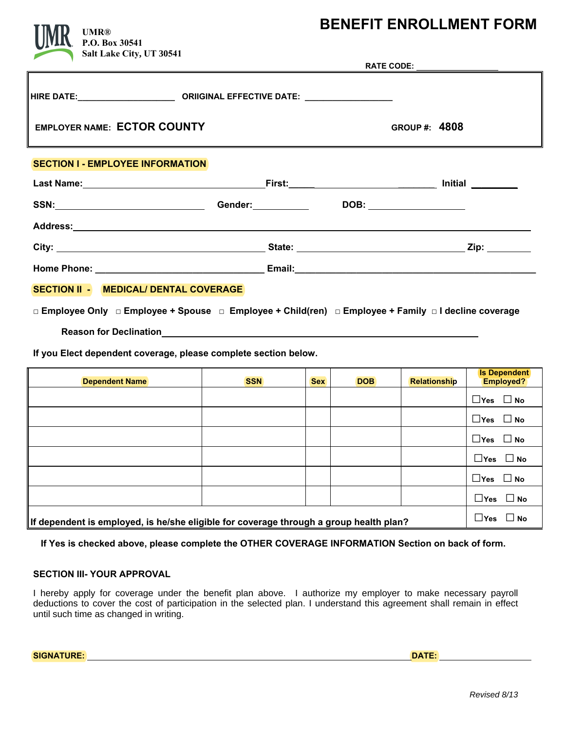# **BENEFIT ENROLLMENT FORM**

**RATE CODE:**

**HIRE DATE:\_\_\_\_\_\_\_\_\_\_\_\_\_\_\_\_\_\_\_\_\_ ORIIGINAL EFFECTIVE DATE: \_\_\_\_\_\_\_\_\_\_\_\_\_\_\_\_\_\_\_ EMPLOYER NAME: ECTOR COUNTY** GROUP #: 4808 **P.O. Box 30541 Salt Lake City, UT 30541**

## **SECTION I - EMPLOYEE INFORMATION**

| Last Name: Manual Manual Manual Manual Manual Manual Manual Manual Manual Manual Manual Manual Manual Manual M |                                    | _First: __________________________________ |               |
|----------------------------------------------------------------------------------------------------------------|------------------------------------|--------------------------------------------|---------------|
| SSN:_____________________________                                                                              | Gender: <u>Community Community</u> | DOB: _______________                       |               |
|                                                                                                                |                                    |                                            |               |
|                                                                                                                |                                    |                                            | Zip: ________ |
|                                                                                                                |                                    |                                            |               |
| SECTION II - MEDICAL/ DENTAL COVERAGE                                                                          |                                    |                                            |               |

**□ Employee Only □ Employee + Spouse □ Employee + Child(ren) □ Employee + Family □ I decline coverage**

 **Reason for Declination** 

**If you Elect dependent coverage, please complete section below.** 

| <b>Dependent Name</b>                                                                              | <b>SSN</b>                 | <b>Sex</b> | <b>DOB</b> | <b>Relationship</b> | <b>Is Dependent</b><br>Employed? |
|----------------------------------------------------------------------------------------------------|----------------------------|------------|------------|---------------------|----------------------------------|
|                                                                                                    |                            |            |            |                     | $\Box$ Yes $\Box$ No             |
|                                                                                                    |                            |            |            |                     | $\Box$ Yes $\Box$ No             |
|                                                                                                    |                            |            |            |                     | $\Box$ Yes $\Box$ No             |
|                                                                                                    |                            |            |            |                     | $\Box$ Yes $\Box$ No             |
|                                                                                                    |                            |            |            |                     | $\Box$ Yes $\Box$ No             |
|                                                                                                    |                            |            |            |                     | $\Box$ Yes $\Box$ No             |
| $\parallel$ If dependent is employed, is he/she eligible for coverage through a group health plan? | $\square$ Yes<br>$\Box$ No |            |            |                     |                                  |

 **If Yes is checked above, please complete the OTHER COVERAGE INFORMATION Section on back of form.** 

#### **SECTION III- YOUR APPROVAL**

I hereby apply for coverage under the benefit plan above. I authorize my employer to make necessary payroll deductions to cover the cost of participation in the selected plan. I understand this agreement shall remain in effect until such time as changed in writing.